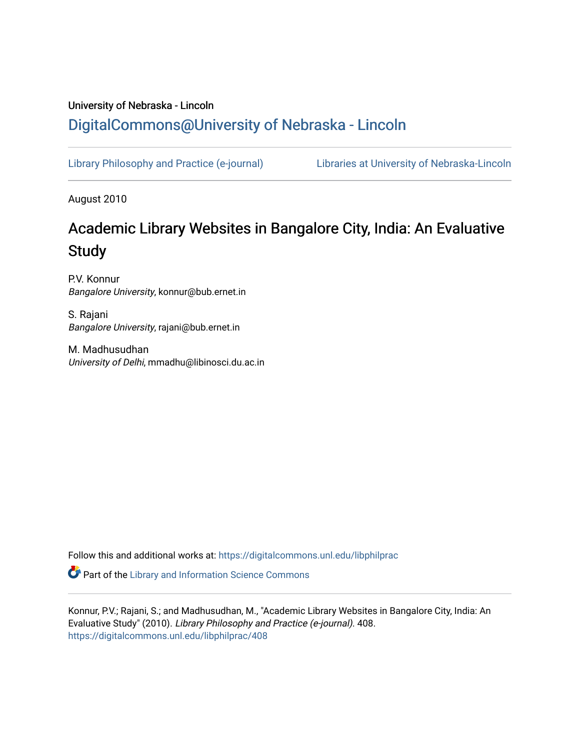## University of Nebraska - Lincoln [DigitalCommons@University of Nebraska - Lincoln](https://digitalcommons.unl.edu/)

[Library Philosophy and Practice \(e-journal\)](https://digitalcommons.unl.edu/libphilprac) [Libraries at University of Nebraska-Lincoln](https://digitalcommons.unl.edu/libraries) 

August 2010

# Academic Library Websites in Bangalore City, India: An Evaluative **Study**

P.V. Konnur Bangalore University, konnur@bub.ernet.in

S. Rajani Bangalore University, rajani@bub.ernet.in

M. Madhusudhan University of Delhi, mmadhu@libinosci.du.ac.in

Follow this and additional works at: [https://digitalcommons.unl.edu/libphilprac](https://digitalcommons.unl.edu/libphilprac?utm_source=digitalcommons.unl.edu%2Flibphilprac%2F408&utm_medium=PDF&utm_campaign=PDFCoverPages) 

**Part of the Library and Information Science Commons** 

Konnur, P.V.; Rajani, S.; and Madhusudhan, M., "Academic Library Websites in Bangalore City, India: An Evaluative Study" (2010). Library Philosophy and Practice (e-journal). 408. [https://digitalcommons.unl.edu/libphilprac/408](https://digitalcommons.unl.edu/libphilprac/408?utm_source=digitalcommons.unl.edu%2Flibphilprac%2F408&utm_medium=PDF&utm_campaign=PDFCoverPages)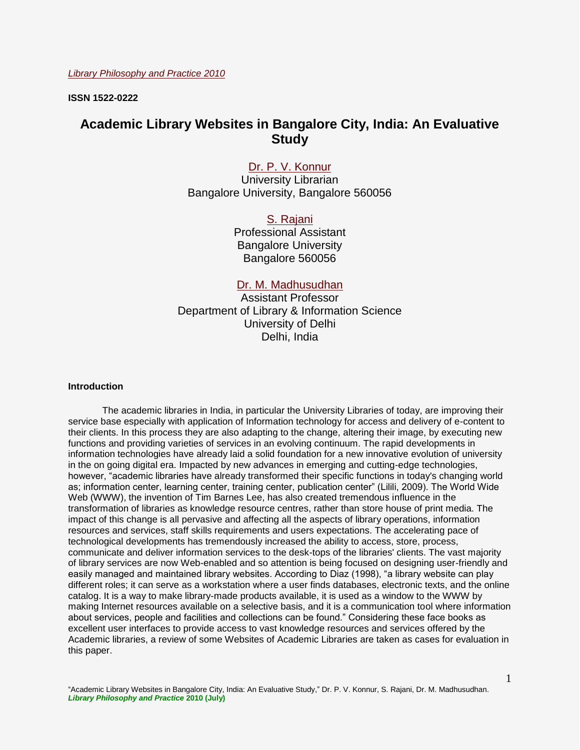**ISSN 1522-0222**

## **Academic Library Websites in Bangalore City, India: An Evaluative Study**

## [Dr. P. V. Konnur](mailto:%20konnur@bub.ernet.in)

University Librarian Bangalore University, Bangalore 560056

> [S. Rajani](mailto:rajani@bub.ernet.in) Professional Assistant Bangalore University Bangalore 560056

## [Dr. M. Madhusudhan](mailto:mmadhu@libinosci.du.ac.in)

Assistant Professor Department of Library & Information Science University of Delhi Delhi, India

#### **Introduction**

The academic libraries in India, in particular the University Libraries of today, are improving their service base especially with application of Information technology for access and delivery of e-content to their clients. In this process they are also adapting to the change, altering their image, by executing new functions and providing varieties of services in an evolving continuum. The rapid developments in information technologies have already laid a solid foundation for a new innovative evolution of university in the on going digital era. Impacted by new advances in emerging and cutting-edge technologies, however, "academic libraries have already transformed their specific functions in today's changing world as; information center, learning center, training center, publication center" (Lilili, 2009). The World Wide Web (WWW), the invention of Tim Barnes Lee, has also created tremendous influence in the transformation of libraries as knowledge resource centres, rather than store house of print media. The impact of this change is all pervasive and affecting all the aspects of library operations, information resources and services, staff skills requirements and users expectations. The accelerating pace of technological developments has tremendously increased the ability to access, store, process, communicate and deliver information services to the desk-tops of the libraries' clients. The vast majority of library services are now Web-enabled and so attention is being focused on designing user-friendly and easily managed and maintained library websites. According to Diaz (1998), "a library website can play different roles; it can serve as a workstation where a user finds databases, electronic texts, and the online catalog. It is a way to make library-made products available, it is used as a window to the WWW by making Internet resources available on a selective basis, and it is a communication tool where information about services, people and facilities and collections can be found." Considering these face books as excellent user interfaces to provide access to vast knowledge resources and services offered by the Academic libraries, a review of some Websites of Academic Libraries are taken as cases for evaluation in this paper.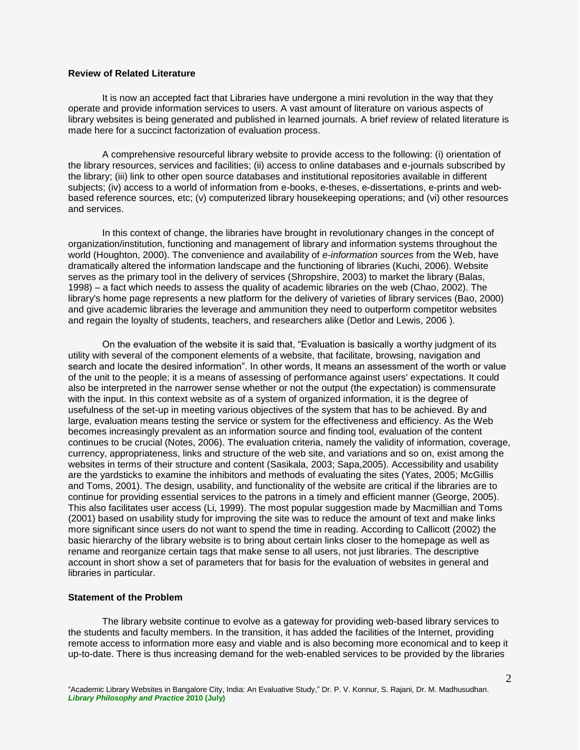### **Review of Related Literature**

It is now an accepted fact that Libraries have undergone a mini revolution in the way that they operate and provide information services to users. A vast amount of literature on various aspects of library websites is being generated and published in learned journals. A brief review of related literature is made here for a succinct factorization of evaluation process.

A comprehensive resourceful library website to provide access to the following: (i) orientation of the library resources, services and facilities; (ii) access to online databases and e-journals subscribed by the library; (iii) link to other open source databases and institutional repositories available in different subjects; (iv) access to a world of information from e-books, e-theses, e-dissertations, e-prints and webbased reference sources, etc; (v) computerized library housekeeping operations; and (vi) other resources and services.

In this context of change, the libraries have brought in revolutionary changes in the concept of organization/institution, functioning and management of library and information systems throughout the world (Houghton, 2000). The convenience and availability of *e-information sources* from the Web, have dramatically altered the information landscape and the functioning of libraries (Kuchi, 2006). Website serves as the primary tool in the delivery of services (Shropshire, 2003) to market the library (Balas, 1998) – a fact which needs to assess the quality of academic libraries on the web (Chao, 2002). The library's home page represents a new platform for the delivery of varieties of library services (Bao, 2000) and give academic libraries the leverage and ammunition they need to outperform competitor websites and regain the loyalty of students, teachers, and researchers alike (Detlor and Lewis, 2006 ).

On the evaluation of the website it is said that, "Evaluation is basically a worthy judgment of its utility with several of the component elements of a website, that facilitate, browsing, navigation and search and locate the desired information". In other words, It means an assessment of the worth or value of the unit to the people; it is a means of assessing of performance against users' expectations. It could also be interpreted in the narrower sense whether or not the output (the expectation) is commensurate with the input. In this context website as of a system of organized information, it is the degree of usefulness of the set-up in meeting various objectives of the system that has to be achieved. By and large, evaluation means testing the service or system for the effectiveness and efficiency. As the Web becomes increasingly prevalent as an information source and finding tool, evaluation of the content continues to be crucial (Notes, 2006). The evaluation criteria, namely the validity of information, coverage, currency, appropriateness, links and structure of the web site, and variations and so on, exist among the websites in terms of their structure and content (Sasikala, 2003; Sapa,2005). Accessibility and usability are the yardsticks to examine the inhibitors and methods of evaluating the sites (Yates, 2005; McGillis and Toms, 2001). The design, usability, and functionality of the website are critical if the libraries are to continue for providing essential services to the patrons in a timely and efficient manner (George, 2005). This also facilitates user access (Li, 1999). The most popular suggestion made by Macmillian and Toms (2001) based on usability study for improving the site was to reduce the amount of text and make links more significant since users do not want to spend the time in reading. According to Callicott (2002) the basic hierarchy of the library website is to bring about certain links closer to the homepage as well as rename and reorganize certain tags that make sense to all users, not just libraries. The descriptive account in short show a set of parameters that for basis for the evaluation of websites in general and libraries in particular.

#### **Statement of the Problem**

The library website continue to evolve as a gateway for providing web-based library services to the students and faculty members. In the transition, it has added the facilities of the Internet, providing remote access to information more easy and viable and is also becoming more economical and to keep it up-to-date. There is thus increasing demand for the web-enabled services to be provided by the libraries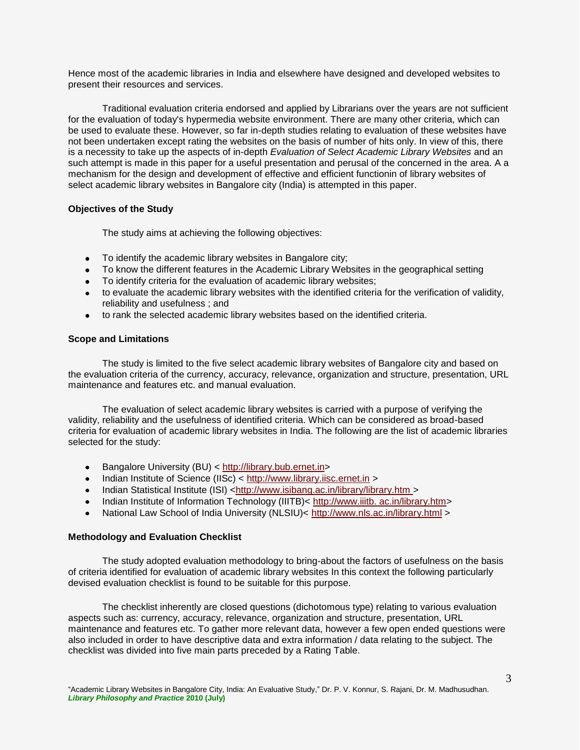Hence most of the academic libraries in India and elsewhere have designed and developed websites to present their resources and services.

Traditional evaluation criteria endorsed and applied by Librarians over the years are not sufficient for the evaluation of today's hypermedia website environment. There are many other criteria, which can be used to evaluate these. However, so far in-depth studies relating to evaluation of these websites have not been undertaken except rating the websites on the basis of number of hits only. In view of this, there is a necessity to take up the aspects of in-depth *Evaluation of Select Academic Library Websites* and an such attempt is made in this paper for a useful presentation and perusal of the concerned in the area. A a mechanism for the design and development of effective and efficient functionin of library websites of select academic library websites in Bangalore city (India) is attempted in this paper.

#### **Objectives of the Study**

The study aims at achieving the following objectives:

- To identify the academic library websites in Bangalore city;
- To know the different features in the Academic Library Websites in the geographical setting
- To identify criteria for the evaluation of academic library websites;
- to evaluate the academic library websites with the identified criteria for the verification of validity, reliability and usefulness ; and
- to rank the selected academic library websites based on the identified criteria.

#### **Scope and Limitations**

The study is limited to the five select academic library websites of Bangalore city and based on the evaluation criteria of the currency, accuracy, relevance, organization and structure, presentation, URL maintenance and features etc. and manual evaluation.

The evaluation of select academic library websites is carried with a purpose of verifying the validity, reliability and the usefulness of identified criteria. Which can be considered as broad-based criteria for evaluation of academic library websites in India. The following are the list of academic libraries selected for the study:

- Bangalore University (BU) < [http://library.bub.ernet.in>](http://library.bub.ernet.in/)  $\bullet$
- Indian Institute of Science (IISc) < [http://www.library.iisc.ernet.in](http://www.library.iisc.ernet.in/) >
- Indian Statistical Institute (ISI) [<http://www.isibang.ac.in/library/library.htm >](http://www.isibang.ac.in/library/library.htm)
- Indian Institute of Information Technology (IIITB)< http://www.iiitb. ac.in/library.htm>
- National Law School of India University (NLSIU)<<http://www.nls.ac.in/library.html> >

#### **Methodology and Evaluation Checklist**

The study adopted evaluation methodology to bring-about the factors of usefulness on the basis of criteria identified for evaluation of academic library websites In this context the following particularly devised evaluation checklist is found to be suitable for this purpose.

The checklist inherently are closed questions (dichotomous type) relating to various evaluation aspects such as: currency, accuracy, relevance, organization and structure, presentation, URL maintenance and features etc. To gather more relevant data, however a few open ended questions were also included in order to have descriptive data and extra information / data relating to the subject. The checklist was divided into five main parts preceded by a Rating Table.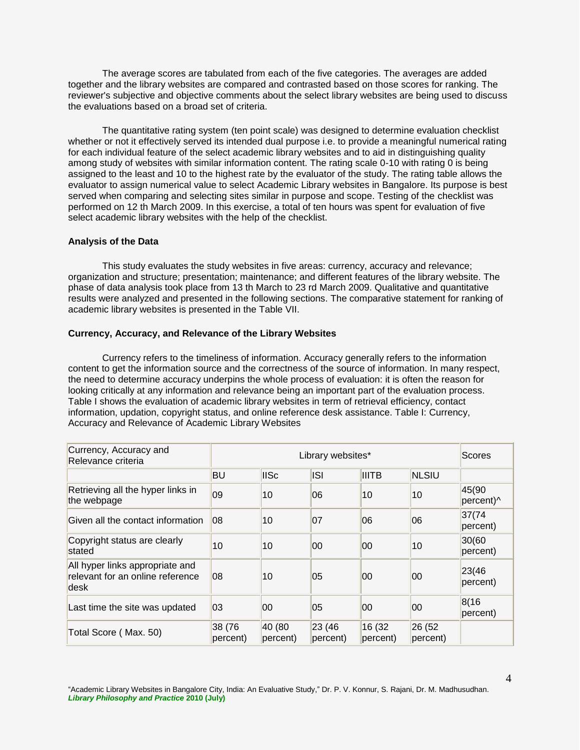The average scores are tabulated from each of the five categories. The averages are added together and the library websites are compared and contrasted based on those scores for ranking. The reviewer's subjective and objective comments about the select library websites are being used to discuss the evaluations based on a broad set of criteria.

The quantitative rating system (ten point scale) was designed to determine evaluation checklist whether or not it effectively served its intended dual purpose i.e. to provide a meaningful numerical rating for each individual feature of the select academic library websites and to aid in distinguishing quality among study of websites with similar information content. The rating scale 0-10 with rating 0 is being assigned to the least and 10 to the highest rate by the evaluator of the study. The rating table allows the evaluator to assign numerical value to select Academic Library websites in Bangalore. Its purpose is best served when comparing and selecting sites similar in purpose and scope. Testing of the checklist was performed on 12 th March 2009. In this exercise, a total of ten hours was spent for evaluation of five select academic library websites with the help of the checklist.

#### **Analysis of the Data**

This study evaluates the study websites in five areas: currency, accuracy and relevance; organization and structure; presentation; maintenance; and different features of the library website. The phase of data analysis took place from 13 th March to 23 rd March 2009. Qualitative and quantitative results were analyzed and presented in the following sections. The comparative statement for ranking of academic library websites is presented in the Table VII.

#### **Currency, Accuracy, and Relevance of the Library Websites**

Currency refers to the timeliness of information. Accuracy generally refers to the information content to get the information source and the correctness of the source of information. In many respect, the need to determine accuracy underpins the whole process of evaluation: it is often the reason for looking critically at any information and relevance being an important part of the evaluation process. Table I shows the evaluation of academic library websites in term of retrieval efficiency, contact information, updation, copyright status, and online reference desk assistance. Table I: Currency, Accuracy and Relevance of Academic Library Websites

| Currency, Accuracy and<br>Relevance criteria                                |                    | Scores             |                     |                     |                    |                    |
|-----------------------------------------------------------------------------|--------------------|--------------------|---------------------|---------------------|--------------------|--------------------|
|                                                                             | <b>BU</b>          | <b>IISc</b>        | <b>ISI</b>          | <b>IIITB</b>        | <b>NLSIU</b>       |                    |
| Retrieving all the hyper links in<br>the webpage                            | 09                 | 10                 | 06                  | 10                  | 10                 | 45(90<br>percent)^ |
| Given all the contact information                                           | 108                | 10                 | 07                  | 06                  | 06                 | 37(74)<br>percent) |
| Copyright status are clearly<br>stated                                      | 10                 | 10                 | 00                  | 00                  | 10                 | 30(60<br>percent)  |
| All hyper links appropriate and<br>relevant for an online reference<br>desk | 08                 | 10                 | 05                  | 00                  | 00                 | 23(46)<br>percent) |
| Last time the site was updated                                              | 03                 | 00                 | 05                  | 00                  | 00                 | 8(16)<br>percent)  |
| Total Score (Max. 50)                                                       | 38 (76<br>percent) | 40 (80<br>percent) | 23(46) <br>percent) | 16 (32)<br>percent) | 26 (52<br>percent) |                    |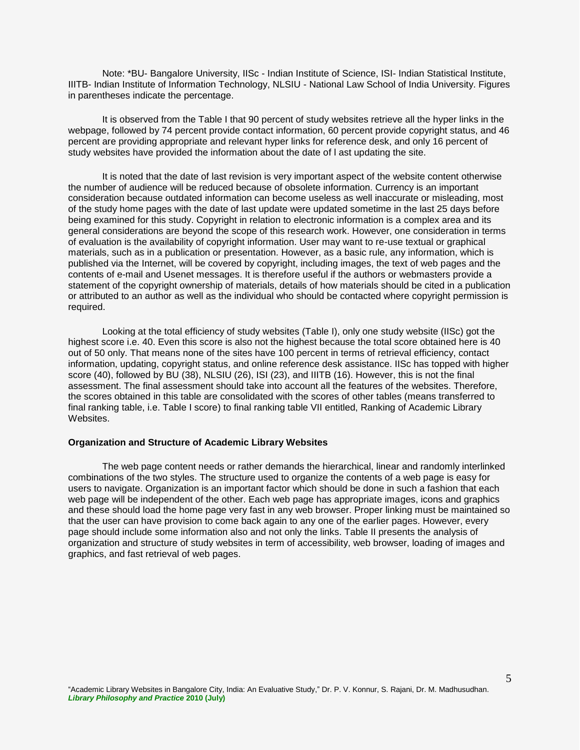Note: \*BU- Bangalore University, IISc - Indian Institute of Science, ISI- Indian Statistical Institute, IIITB- Indian Institute of Information Technology, NLSIU - National Law School of India University. Figures in parentheses indicate the percentage.

It is observed from the Table I that 90 percent of study websites retrieve all the hyper links in the webpage, followed by 74 percent provide contact information, 60 percent provide copyright status, and 46 percent are providing appropriate and relevant hyper links for reference desk, and only 16 percent of study websites have provided the information about the date of l ast updating the site.

It is noted that the date of last revision is very important aspect of the website content otherwise the number of audience will be reduced because of obsolete information. Currency is an important consideration because outdated information can become useless as well inaccurate or misleading, most of the study home pages with the date of last update were updated sometime in the last 25 days before being examined for this study. Copyright in relation to electronic information is a complex area and its general considerations are beyond the scope of this research work. However, one consideration in terms of evaluation is the availability of copyright information. User may want to re-use textual or graphical materials, such as in a publication or presentation. However, as a basic rule, any information, which is published via the Internet, will be covered by copyright, including images, the text of web pages and the contents of e-mail and Usenet messages. It is therefore useful if the authors or webmasters provide a statement of the copyright ownership of materials, details of how materials should be cited in a publication or attributed to an author as well as the individual who should be contacted where copyright permission is required.

Looking at the total efficiency of study websites (Table I), only one study website (IISc) got the highest score i.e. 40. Even this score is also not the highest because the total score obtained here is 40 out of 50 only. That means none of the sites have 100 percent in terms of retrieval efficiency, contact information, updating, copyright status, and online reference desk assistance. IISc has topped with higher score (40), followed by BU (38), NLSIU (26), ISI (23), and IIITB (16). However, this is not the final assessment. The final assessment should take into account all the features of the websites. Therefore, the scores obtained in this table are consolidated with the scores of other tables (means transferred to final ranking table, i.e. Table I score) to final ranking table VII entitled, Ranking of Academic Library Websites.

#### **Organization and Structure of Academic Library Websites**

The web page content needs or rather demands the hierarchical, linear and randomly interlinked combinations of the two styles. The structure used to organize the contents of a web page is easy for users to navigate. Organization is an important factor which should be done in such a fashion that each web page will be independent of the other. Each web page has appropriate images, icons and graphics and these should load the home page very fast in any web browser. Proper linking must be maintained so that the user can have provision to come back again to any one of the earlier pages. However, every page should include some information also and not only the links. Table II presents the analysis of organization and structure of study websites in term of accessibility, web browser, loading of images and graphics, and fast retrieval of web pages.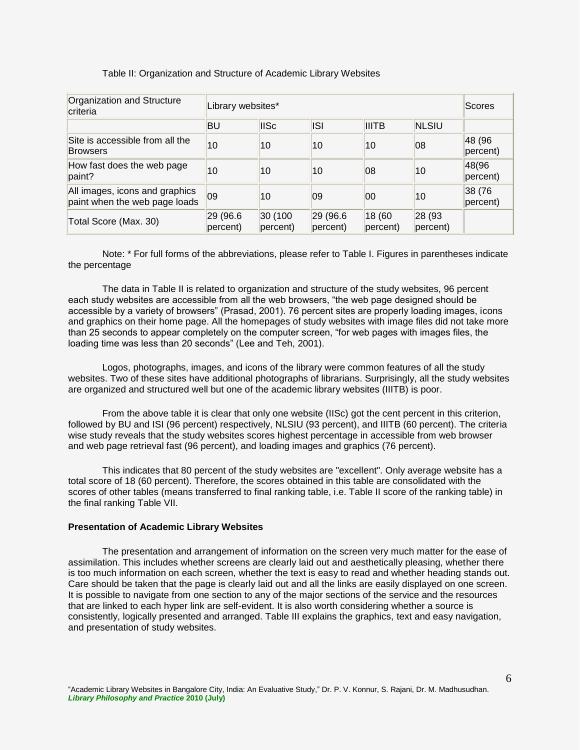#### Table II: Organization and Structure of Academic Library Websites

| Organization and Structure<br>criteria                          |                      | Library websites*            |                      |                    |                    |                    |  |  |
|-----------------------------------------------------------------|----------------------|------------------------------|----------------------|--------------------|--------------------|--------------------|--|--|
|                                                                 | BU                   | <b>IISc</b>                  | <b>ISI</b>           | <b>IIITB</b>       | <b>NLSIU</b>       |                    |  |  |
| Site is accessible from all the<br><b>Browsers</b>              | 10                   | 10                           | 10                   | 10                 | 08                 | 48 (96<br>percent) |  |  |
| How fast does the web page<br>paint?                            | 10                   | 10                           | 10                   | 08                 | 10                 | 48(96<br>percent)  |  |  |
| All images, icons and graphics<br>paint when the web page loads | $ 09\rangle$         | 10                           | 09                   | 00                 | 10                 | 38 (76<br>percent) |  |  |
| Total Score (Max. 30)                                           | 29 (96.6<br>percent) | 30 (100<br>$ percent\rangle$ | 29 (96.6<br>percent) | 18 (60<br>percent) | 28 (93<br>percent) |                    |  |  |

Note: \* For full forms of the abbreviations, please refer to Table I. Figures in parentheses indicate the percentage

The data in Table II is related to organization and structure of the study websites, 96 percent each study websites are accessible from all the web browsers, "the web page designed should be accessible by a variety of browsers" (Prasad, 2001). 76 percent sites are properly loading images, icons and graphics on their home page. All the homepages of study websites with image files did not take more than 25 seconds to appear completely on the computer screen, "for web pages with images files, the loading time was less than 20 seconds" (Lee and Teh, 2001).

Logos, photographs, images, and icons of the library were common features of all the study websites. Two of these sites have additional photographs of librarians. Surprisingly, all the study websites are organized and structured well but one of the academic library websites (IIITB) is poor.

From the above table it is clear that only one website (IISc) got the cent percent in this criterion, followed by BU and ISI (96 percent) respectively, NLSIU (93 percent), and IIITB (60 percent). The criteria wise study reveals that the study websites scores highest percentage in accessible from web browser and web page retrieval fast (96 percent), and loading images and graphics (76 percent).

This indicates that 80 percent of the study websites are "excellent". Only average website has a total score of 18 (60 percent). Therefore, the scores obtained in this table are consolidated with the scores of other tables (means transferred to final ranking table, i.e. Table II score of the ranking table) in the final ranking Table VII.

#### **Presentation of Academic Library Websites**

The presentation and arrangement of information on the screen very much matter for the ease of assimilation. This includes whether screens are clearly laid out and aesthetically pleasing, whether there is too much information on each screen, whether the text is easy to read and whether heading stands out. Care should be taken that the page is clearly laid out and all the links are easily displayed on one screen. It is possible to navigate from one section to any of the major sections of the service and the resources that are linked to each hyper link are self-evident. It is also worth considering whether a source is consistently, logically presented and arranged. Table III explains the graphics, text and easy navigation, and presentation of study websites.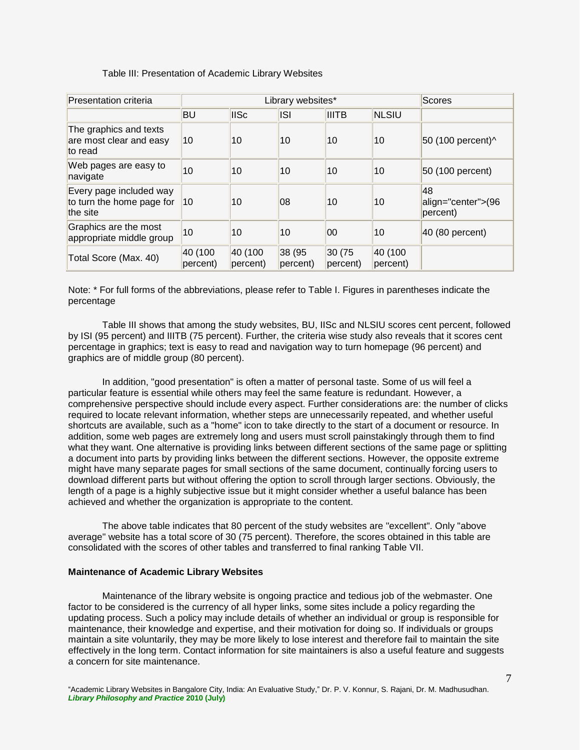|  |  |  | Table III: Presentation of Academic Library Websites |  |  |
|--|--|--|------------------------------------------------------|--|--|
|--|--|--|------------------------------------------------------|--|--|

| <b>Presentation criteria</b>                                     |                     | Library websites*   | Scores             |                    |                     |                                               |
|------------------------------------------------------------------|---------------------|---------------------|--------------------|--------------------|---------------------|-----------------------------------------------|
|                                                                  | <b>BU</b>           | <b>IISc</b>         | <b>ISI</b>         | <b>IIITB</b>       | <b>NLSIU</b>        |                                               |
| The graphics and texts<br>are most clear and easy<br>to read     | 10                  | 10                  | 10                 | 10                 | 10                  | 50 (100 percent)^                             |
| Web pages are easy to<br>navigate                                | 10                  | 10                  | 10                 | 10                 | 10                  | 50 (100 percent)                              |
| Every page included way<br>to turn the home page for<br>the site | 10                  | 10                  | 08                 | 10                 | 10                  | 48<br>align="center">(96<br>$ percent\rangle$ |
| Graphics are the most<br>appropriate middle group                | 10                  | 10                  | 10                 | 00                 | 10                  | $ 40\rangle$ (80 percent)                     |
| Total Score (Max. 40)                                            | 40 (100<br>percent) | 40 (100<br>percent) | 38 (95<br>percent) | 30 (75<br>percent) | 40 (100<br>percent) |                                               |

Note: \* For full forms of the abbreviations, please refer to Table I. Figures in parentheses indicate the percentage

Table III shows that among the study websites, BU, IISc and NLSIU scores cent percent, followed by ISI (95 percent) and IIITB (75 percent). Further, the criteria wise study also reveals that it scores cent percentage in graphics; text is easy to read and navigation way to turn homepage (96 percent) and graphics are of middle group (80 percent).

In addition, "good presentation" is often a matter of personal taste. Some of us will feel a particular feature is essential while others may feel the same feature is redundant. However, a comprehensive perspective should include every aspect. Further considerations are: the number of clicks required to locate relevant information, whether steps are unnecessarily repeated, and whether useful shortcuts are available, such as a "home" icon to take directly to the start of a document or resource. In addition, some web pages are extremely long and users must scroll painstakingly through them to find what they want. One alternative is providing links between different sections of the same page or splitting a document into parts by providing links between the different sections. However, the opposite extreme might have many separate pages for small sections of the same document, continually forcing users to download different parts but without offering the option to scroll through larger sections. Obviously, the length of a page is a highly subjective issue but it might consider whether a useful balance has been achieved and whether the organization is appropriate to the content.

The above table indicates that 80 percent of the study websites are "excellent". Only "above average" website has a total score of 30 (75 percent). Therefore, the scores obtained in this table are consolidated with the scores of other tables and transferred to final ranking Table VII.

#### **Maintenance of Academic Library Websites**

Maintenance of the library website is ongoing practice and tedious job of the webmaster. One factor to be considered is the currency of all hyper links, some sites include a policy regarding the updating process. Such a policy may include details of whether an individual or group is responsible for maintenance, their knowledge and expertise, and their motivation for doing so. If individuals or groups maintain a site voluntarily, they may be more likely to lose interest and therefore fail to maintain the site effectively in the long term. Contact information for site maintainers is also a useful feature and suggests a concern for site maintenance.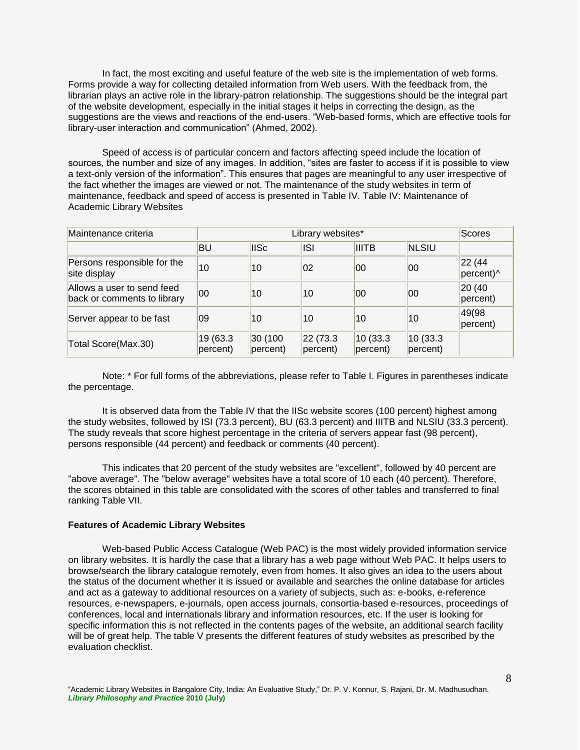In fact, the most exciting and useful feature of the web site is the implementation of web forms. Forms provide a way for collecting detailed information from Web users. With the feedback from, the librarian plays an active role in the library-patron relationship. The suggestions should be the integral part of the website development, especially in the initial stages it helps in correcting the design, as the suggestions are the views and reactions of the end-users. "Web-based forms, which are effective tools for library-user interaction and communication" (Ahmed, 2002).

Speed of access is of particular concern and factors affecting speed include the location of sources, the number and size of any images. In addition, "sites are faster to access if it is possible to view a text-only version of the information". This ensures that pages are meaningful to any user irrespective of the fact whether the images are viewed or not. The maintenance of the study websites in term of maintenance, feedback and speed of access is presented in Table IV. Table IV: Maintenance of Academic Library Websites

| Maintenance criteria                                      |                      | Library websites*   |                      |                      |                       |                             |  |  |
|-----------------------------------------------------------|----------------------|---------------------|----------------------|----------------------|-----------------------|-----------------------------|--|--|
|                                                           | <b>BU</b>            | <b>IISc</b>         | <b>ISI</b>           | <b>IIITB</b>         | <b>NLSIU</b>          |                             |  |  |
| Persons responsible for the<br>site display               | 10                   | 10                  | $ 02\rangle$         | 100                  | 00                    | 22 (44)<br>percent)^        |  |  |
| Allows a user to send feed<br>back or comments to library | 100                  | 10                  | 10                   | 100                  | 00                    | 20 (40<br>$ percent\rangle$ |  |  |
| Server appear to be fast                                  | 09                   | 10                  | 10                   | 10                   | 10                    | 49(98<br>percent)           |  |  |
| Total Score(Max.30)                                       | 19 (63.3<br>percent) | 30 (100<br>percent) | 22 (73.3<br>percent) | 10(33.3)<br>percent) | 10 (33.3)<br>percent) |                             |  |  |

Note: \* For full forms of the abbreviations, please refer to Table I. Figures in parentheses indicate the percentage.

It is observed data from the Table IV that the IISc website scores (100 percent) highest among the study websites, followed by ISI (73.3 percent), BU (63.3 percent) and IIITB and NLSIU (33.3 percent). The study reveals that score highest percentage in the criteria of servers appear fast (98 percent), persons responsible (44 percent) and feedback or comments (40 percent).

This indicates that 20 percent of the study websites are "excellent", followed by 40 percent are "above average". The "below average" websites have a total score of 10 each (40 percent). Therefore, the scores obtained in this table are consolidated with the scores of other tables and transferred to final ranking Table VII.

#### **Features of Academic Library Websites**

Web-based Public Access Catalogue (Web PAC) is the most widely provided information service on library websites. It is hardly the case that a library has a web page without Web PAC. It helps users to browse/search the library catalogue remotely, even from homes. It also gives an idea to the users about the status of the document whether it is issued or available and searches the online database for articles and act as a gateway to additional resources on a variety of subjects, such as: e-books, e-reference resources, e-newspapers, e-journals, open access journals, consortia-based e-resources, proceedings of conferences, local and internationals library and information resources, etc. If the user is looking for specific information this is not reflected in the contents pages of the website, an additional search facility will be of great help. The table V presents the different features of study websites as prescribed by the evaluation checklist.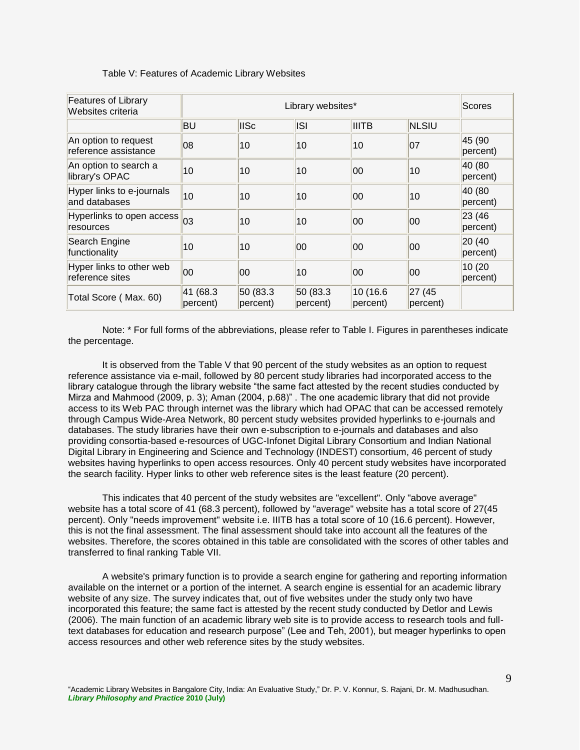| <b>Features of Library</b><br>Websites criteria |                       | Library websites*    |                       |                       |                    |                     |  |
|-------------------------------------------------|-----------------------|----------------------|-----------------------|-----------------------|--------------------|---------------------|--|
|                                                 | BU                    | <b>IISc</b>          | <b>ISI</b>            | <b>IIITB</b>          | <b>NLSIU</b>       |                     |  |
| An option to request<br>reference assistance    | 08                    | 10                   | 10                    | 10                    | 07                 | 45 (90<br>percent)  |  |
| An option to search a<br>library's OPAC         | 10                    | 10                   | 10                    | 00                    | 10                 | 40 (80<br>percent)  |  |
| Hyper links to e-journals<br>and databases      | 10                    | 10                   | 10                    | 00                    | 10                 | 40 (80<br>percent)  |  |
| Hyperlinks to open access 03<br>resources       |                       | 10                   | 10                    | 00                    | 00                 | 23 (46)<br>percent) |  |
| Search Engine<br>functionality                  | 10                    | 10                   | 00                    | 00                    | 00                 | 20 (40<br>percent)  |  |
| Hyper links to other web<br>reference sites     | 00                    | 00                   | 10                    | 00                    | 100                | 10 (20<br>percent)  |  |
| Total Score (Max. 60)                           | 41 (68.3)<br>percent) | 50 (83.3<br>percent) | 50 (83.3)<br>percent) | 10 (16.6)<br>percent) | 27 (45<br>percent) |                     |  |

#### Table V: Features of Academic Library Websites

Note: \* For full forms of the abbreviations, please refer to Table I. Figures in parentheses indicate the percentage.

It is observed from the Table V that 90 percent of the study websites as an option to request reference assistance via e-mail, followed by 80 percent study libraries had incorporated access to the library catalogue through the library website "the same fact attested by the recent studies conducted by Mirza and Mahmood (2009, p. 3); Aman (2004, p.68)" . The one academic library that did not provide access to its Web PAC through internet was the library which had OPAC that can be accessed remotely through Campus Wide-Area Network, 80 percent study websites provided hyperlinks to e-journals and databases. The study libraries have their own e-subscription to e-journals and databases and also providing consortia-based e-resources of UGC-Infonet Digital Library Consortium and Indian National Digital Library in Engineering and Science and Technology (INDEST) consortium, 46 percent of study websites having hyperlinks to open access resources. Only 40 percent study websites have incorporated the search facility. Hyper links to other web reference sites is the least feature (20 percent).

This indicates that 40 percent of the study websites are "excellent". Only "above average" website has a total score of 41 (68.3 percent), followed by "average" website has a total score of 27(45 percent). Only "needs improvement" website i.e. IIITB has a total score of 10 (16.6 percent). However, this is not the final assessment. The final assessment should take into account all the features of the websites. Therefore, the scores obtained in this table are consolidated with the scores of other tables and transferred to final ranking Table VII.

A website's primary function is to provide a search engine for gathering and reporting information available on the internet or a portion of the internet. A search engine is essential for an academic library website of any size. The survey indicates that, out of five websites under the study only two have incorporated this feature; the same fact is attested by the recent study conducted by Detlor and Lewis (2006). The main function of an academic library web site is to provide access to research tools and fulltext databases for education and research purpose" (Lee and Teh, 2001), but meager hyperlinks to open access resources and other web reference sites by the study websites.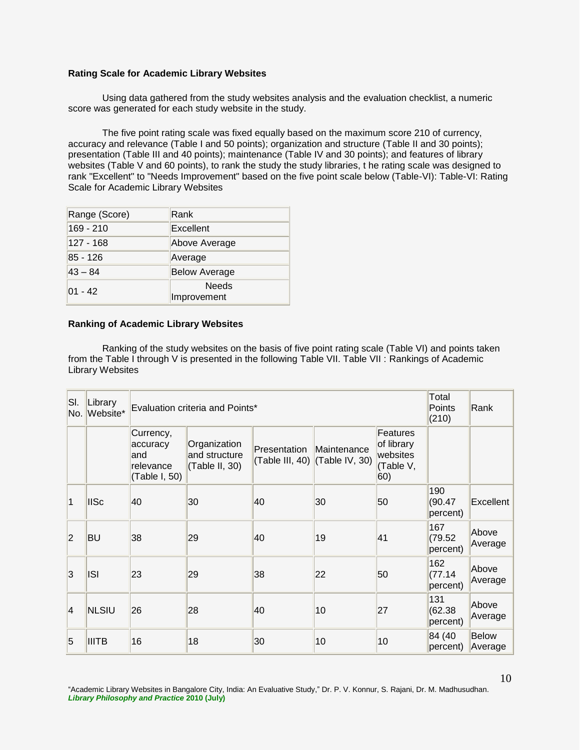#### **Rating Scale for Academic Library Websites**

Using data gathered from the study websites analysis and the evaluation checklist, a numeric score was generated for each study website in the study.

The five point rating scale was fixed equally based on the maximum score 210 of currency, accuracy and relevance (Table I and 50 points); organization and structure (Table II and 30 points); presentation (Table III and 40 points); maintenance (Table IV and 30 points); and features of library websites (Table V and 60 points), to rank the study the study libraries, t he rating scale was designed to rank "Excellent" to "Needs Improvement" based on the five point scale below (Table-VI): Table-VI: Rating Scale for Academic Library Websites

| Range (Score) | Rank                 |
|---------------|----------------------|
| 169 - 210     | Excellent            |
| 127 - 168     | Above Average        |
| 85 - 126      | Average              |
| $ 43 - 84 $   | <b>Below Average</b> |
| $01 - 42$     | Needs<br>Improvement |

#### **Ranking of Academic Library Websites**

Ranking of the study websites on the basis of five point rating scale (Table VI) and points taken from the Table I through V is presented in the following Table VII. Table VII : Rankings of Academic Library Websites

| SI.<br>No.     | Library<br>Website* |                                                             | Evaluation criteria and Points*                 |                                 |                               |                                                        |                            |                         |
|----------------|---------------------|-------------------------------------------------------------|-------------------------------------------------|---------------------------------|-------------------------------|--------------------------------------------------------|----------------------------|-------------------------|
|                |                     | Currency,<br>accuracy<br>land<br>relevance<br>(Table I, 50) | Organization<br>and structure<br>(Table II, 30) | Presentation<br>(Table III, 40) | Maintenance<br>(Table IV, 30) | Features<br>of library<br>websites<br>(Table V,<br>60) |                            |                         |
| 1              | <b>IISc</b>         | 40                                                          | 30                                              | 40                              | 30                            | 50                                                     | 190<br>(90.47)<br>percent) | Excellent               |
| 2              | <b>BU</b>           | 38                                                          | 29                                              | 40                              | 19                            | 41                                                     | 167<br>(79.52)<br>percent) | Above<br>Average        |
| 3              | <b>ISI</b>          | 23                                                          | 29                                              | 38                              | 22                            | 50                                                     | 162<br>(77.14)<br>percent) | Above<br>Average        |
| $\overline{4}$ | <b>NLSIU</b>        | 26                                                          | 28                                              | 40                              | 10                            | 27                                                     | 131<br>(62.38)<br>percent) | Above<br>Average        |
| $\overline{5}$ | <b>IIITB</b>        | 16                                                          | 18                                              | 30                              | 10                            | 10                                                     | 84 (40)<br>percent)        | <b>Below</b><br>Average |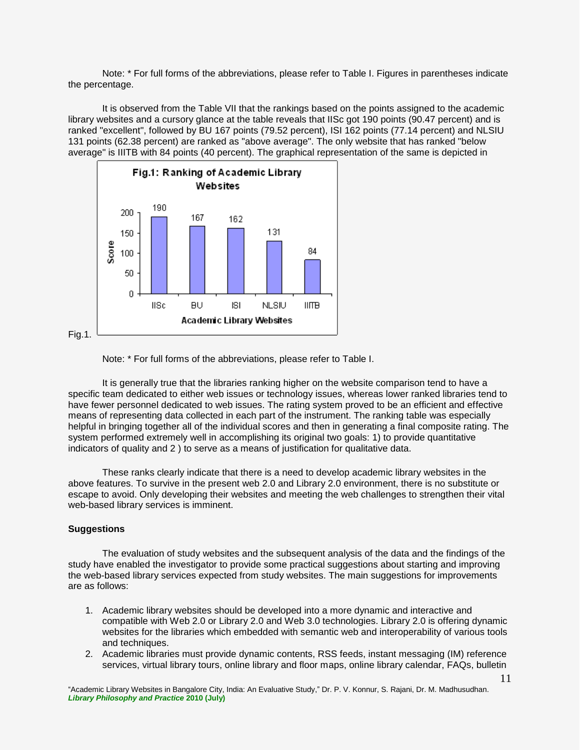Note: \* For full forms of the abbreviations, please refer to Table I. Figures in parentheses indicate the percentage.

It is observed from the Table VII that the rankings based on the points assigned to the academic library websites and a cursory glance at the table reveals that IISc got 190 points (90.47 percent) and is ranked "excellent", followed by BU 167 points (79.52 percent), ISI 162 points (77.14 percent) and NLSIU 131 points (62.38 percent) are ranked as "above average". The only website that has ranked "below average" is IIITB with 84 points (40 percent). The graphical representation of the same is depicted in



Note: \* For full forms of the abbreviations, please refer to Table I.

It is generally true that the libraries ranking higher on the website comparison tend to have a specific team dedicated to either web issues or technology issues, whereas lower ranked libraries tend to have fewer personnel dedicated to web issues. The rating system proved to be an efficient and effective means of representing data collected in each part of the instrument. The ranking table was especially helpful in bringing together all of the individual scores and then in generating a final composite rating. The system performed extremely well in accomplishing its original two goals: 1) to provide quantitative indicators of quality and 2 ) to serve as a means of justification for qualitative data.

These ranks clearly indicate that there is a need to develop academic library websites in the above features. To survive in the present web 2.0 and Library 2.0 environment, there is no substitute or escape to avoid. Only developing their websites and meeting the web challenges to strengthen their vital web-based library services is imminent.

#### **Suggestions**

The evaluation of study websites and the subsequent analysis of the data and the findings of the study have enabled the investigator to provide some practical suggestions about starting and improving the web-based library services expected from study websites. The main suggestions for improvements are as follows:

- 1. Academic library websites should be developed into a more dynamic and interactive and compatible with Web 2.0 or Library 2.0 and Web 3.0 technologies. Library 2.0 is offering dynamic websites for the libraries which embedded with semantic web and interoperability of various tools and techniques.
- 2. Academic libraries must provide dynamic contents, RSS feeds, instant messaging (IM) reference services, virtual library tours, online library and floor maps, online library calendar, FAQs, bulletin

"Academic Library Websites in Bangalore City, India: An Evaluative Study," Dr. P. V. Konnur, S. Rajani, Dr. M. Madhusudhan. *Library Philosophy and Practice* **2010 (July)**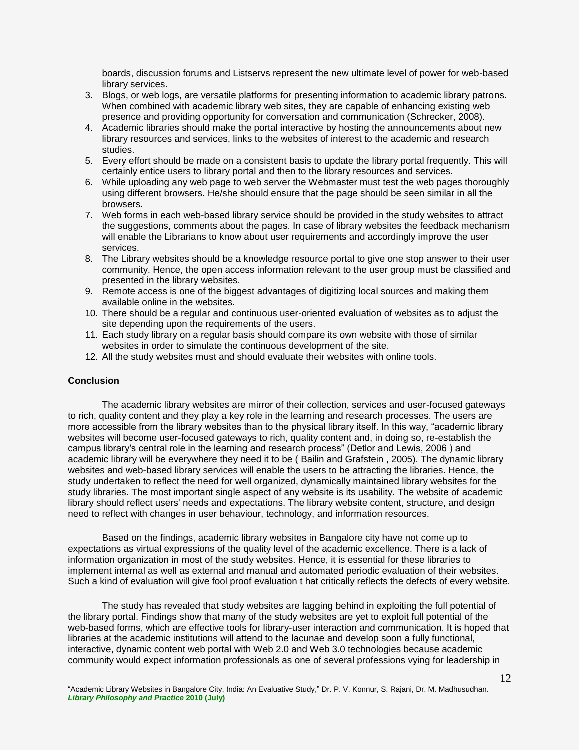boards, discussion forums and Listservs represent the new ultimate level of power for web-based library services.

- 3. Blogs, or web logs, are versatile platforms for presenting information to academic library patrons. When combined with academic library web sites, they are capable of enhancing existing web presence and providing opportunity for conversation and communication (Schrecker, 2008).
- 4. Academic libraries should make the portal interactive by hosting the announcements about new library resources and services, links to the websites of interest to the academic and research studies.
- 5. Every effort should be made on a consistent basis to update the library portal frequently. This will certainly entice users to library portal and then to the library resources and services.
- 6. While uploading any web page to web server the Webmaster must test the web pages thoroughly using different browsers. He/she should ensure that the page should be seen similar in all the browsers.
- 7. Web forms in each web-based library service should be provided in the study websites to attract the suggestions, comments about the pages. In case of library websites the feedback mechanism will enable the Librarians to know about user requirements and accordingly improve the user services.
- 8. The Library websites should be a knowledge resource portal to give one stop answer to their user community. Hence, the open access information relevant to the user group must be classified and presented in the library websites.
- 9. Remote access is one of the biggest advantages of digitizing local sources and making them available online in the websites.
- 10. There should be a regular and continuous user-oriented evaluation of websites as to adjust the site depending upon the requirements of the users.
- 11. Each study library on a regular basis should compare its own website with those of similar websites in order to simulate the continuous development of the site.
- 12. All the study websites must and should evaluate their websites with online tools.

#### **Conclusion**

The academic library websites are mirror of their collection, services and user-focused gateways to rich, quality content and they play a key role in the learning and research processes. The users are more accessible from the library websites than to the physical library itself. In this way, "academic library websites will become user-focused gateways to rich, quality content and, in doing so, re-establish the campus library's central role in the learning and research process" (Detlor and Lewis, 2006 ) and academic library will be everywhere they need it to be ( Bailin and Grafstein , 2005). The dynamic library websites and web-based library services will enable the users to be attracting the libraries. Hence, the study undertaken to reflect the need for well organized, dynamically maintained library websites for the study libraries. The most important single aspect of any website is its usability. The website of academic library should reflect users' needs and expectations. The library website content, structure, and design need to reflect with changes in user behaviour, technology, and information resources.

Based on the findings, academic library websites in Bangalore city have not come up to expectations as virtual expressions of the quality level of the academic excellence. There is a lack of information organization in most of the study websites. Hence, it is essential for these libraries to implement internal as well as external and manual and automated periodic evaluation of their websites. Such a kind of evaluation will give fool proof evaluation t hat critically reflects the defects of every website.

The study has revealed that study websites are lagging behind in exploiting the full potential of the library portal. Findings show that many of the study websites are yet to exploit full potential of the web-based forms, which are effective tools for library-user interaction and communication. It is hoped that libraries at the academic institutions will attend to the lacunae and develop soon a fully functional, interactive, dynamic content web portal with Web 2.0 and Web 3.0 technologies because academic community would expect information professionals as one of several professions vying for leadership in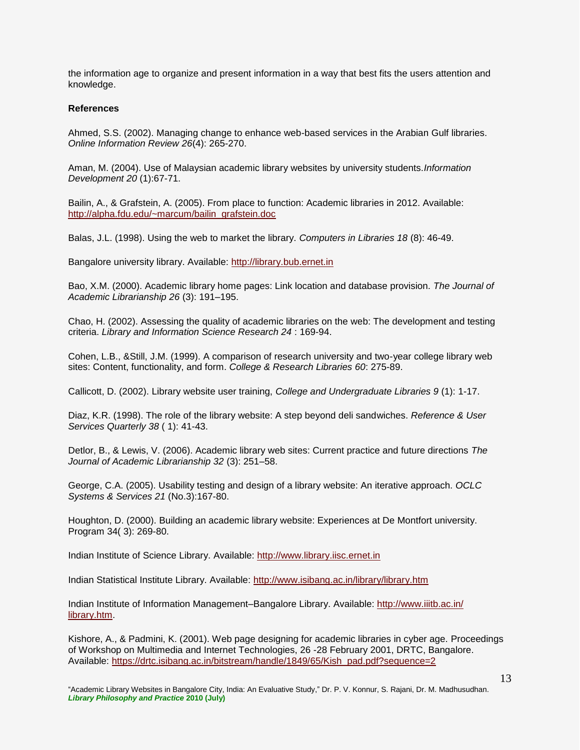the information age to organize and present information in a way that best fits the users attention and knowledge.

#### **References**

Ahmed, S.S. (2002). Managing change to enhance web-based services in the Arabian Gulf libraries. *Online Information Review 26*(4): 265-270.

Aman, M. (2004). Use of Malaysian academic library websites by university students.*Information Development 20* (1):67-71.

Bailin, A., & Grafstein, A. (2005). From place to function: Academic libraries in 2012. Available: [http://alpha.fdu.edu/~marcum/bailin\\_grafstein.doc](http://alpha.fdu.edu/~marcum/bailin_grafstein.doc) 

Balas, J.L. (1998). Using the web to market the library. *Computers in Libraries 18* (8): 46-49.

Bangalore university library. Available: [http://library.bub.ernet.in](http://library.bub.ernet.in/) 

Bao, X.M. (2000). Academic library home pages: Link location and database provision. *The Journal of Academic Librarianship 26* (3): 191–195.

Chao, H. (2002). Assessing the quality of academic libraries on the web: The development and testing criteria. *Library and Information Science Research 24* : 169-94.

Cohen, L.B., &Still, J.M. (1999). A comparison of research university and two-year college library web sites: Content, functionality, and form. *College & Research Libraries 60*: 275-89.

Callicott, D. (2002). Library website user training, *College and Undergraduate Libraries 9* (1): 1-17.

Diaz, K.R. (1998). The role of the library website: A step beyond deli sandwiches. *Reference & User Services Quarterly 38* ( 1): 41-43.

Detlor, B., & Lewis, V. (2006). Academic library web sites: Current practice and future directions *The Journal of Academic Librarianship 32* (3): 251–58.

George, C.A. (2005). Usability testing and design of a library website: An iterative approach. *OCLC Systems & Services 21* (No.3):167-80.

Houghton, D. (2000). Building an academic library website: Experiences at De Montfort university. Program 34( 3): 269-80.

Indian Institute of Science Library. Available: [http://www.library.iisc.ernet.in](http://www.library.iisc.ernet.in/) 

Indian Statistical Institute Library. Available:<http://www.isibang.ac.in/library/library.htm>

Indian Institute of Information Management–Bangalore Library. Available: [http://www.iiitb.ac.in/](http://www.iiitb.ac.in/%20library.htm)  [library.htm.](http://www.iiitb.ac.in/%20library.htm)

Kishore, A., & Padmini, K. (2001). Web page designing for academic libraries in cyber age. Proceedings of Workshop on Multimedia and Internet Technologies, 26 -28 February 2001, DRTC, Bangalore. Available: [https://drtc.isibang.ac.in/bitstream/handle/1849/65/Kish\\_pad.pdf?sequence=2](https://drtc.isibang.ac.in/bitstream/handle/1849/65/Kish_pad.pdf?sequence=2)